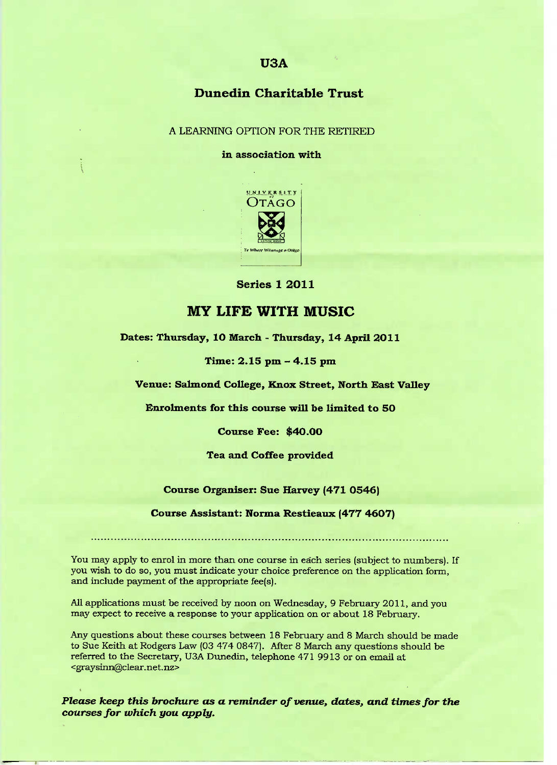## **U3A**

## **Dunedin Charitable Trust**

A LEARNING OPTION FOR THE RETIRED

#### **in association with**



**Series 1 2O11**

## **MY LIFE WITH MUSIC**

**Dates: Thursday, 10 March - Thursday, 14 April 2011**

**Time: 2.15 pm - 4.15 pm**

**Venue: Salmond College, Knox Street, North East Valley**

**Enrolments for this course will be limited to 50**

**Course Fee:** \$4O.OO

**Tea and Coffee provided**

#### **Course Organiser: Sue Harvey (471 0546)**

#### **Course Assistant: Norma** Restieaux **(477 46O7)**

You may apply to enrol in more than one course in each series (subject to numbers). If you wish to do so, you must indicate your choice preference on the application form, and include payment of the appropriate fee(s).

All applications must be received by noon on Wednesday, 9 February 2011, and you may expect to receive a response to your application on or about 18 February.

Any questions about these courses between 18 February and 8 March should be made to Sue Keith at Rodgers Law (03 474 0847). After 8 March any questions should be referred to the Secretary, USA Dunedin, telephone 471 9913 or on email at <graysinn@clear.net.nz>

*Please keep this brochure as a reminder of venue, dates., and times for the courses for which you apply.*